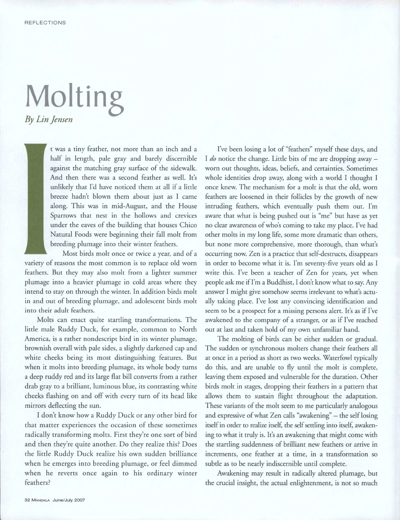## **Molting**  *By Lin Jensen*

t was a tiny feather, not more than an inch and a half in length, pale gray and barely discernible against the matching gray surface of the sidewalk. And then there was a second feather as well. It's unlikely that I'd have noticed them at all if a little breeze hadn't blown them about just as I came along. This was in mid-August, and the House Sparrows that nest in the hollows and crevices under the eaves of the building that houses Chico Natural Foods were beginning their fall molt from breeding plumage into their winter feathers.

Most birds molt once or twice a year, and of a variety of reasons the most common is to replace old worn feathers. But they may also molt from a lighter summer plumage into a heavier plumage in cold areas where they intend to stay on through the winter. In addition birds molt in and out of breeding plumage, and adolescent birds molt into their adult feathers.

Molts can enact quite startling transformations. The little male Ruddy Duck, for example, common to North America, is a rather nondescript bird in its winter plumage, brownish overall with pale sides, a slightly darkened cap and white cheeks being its most distinguishing features. But when it molts into breeding plumage, its whole body turns a deep ruddy red and its large flat bill converts from a rather drab gray to a brilliant, luminous blue, its contrasting white cheeks flashing on and off with every turn of its head like mirrors deflecting the sun.

I don't know how a Ruddy Duck or any other bird for that matter experiences the occasion of these sometimes radically transforming molts. First they're one sort of bird and then they're quite another. Do they realize this? Does the little Ruddy Duck realize his own sudden brilliance when he emerges into breeding plumage, or feel dimmed when he reverts once again to his ordinary winter feathers?

I've been losing a lot of "feathers" myself these days, and I *do* notice the change. Little bits of me are dropping away worn out thoughts, ideas, beliefs, and certainties. Sometimes whole identities drop away, along with a world I thought I once knew. The mechanism for a molt is that the old, worn feathers are loosened in their follicles by the growth of new intruding feathers, which eventually push them out. I'm aware that what is being pushed out is "me" but have as yet no clear awareness of who's coming to take my place. I've had other molts in my long life, some more dramatic than others, but none more comprehensive, more thorough, than what's occurring now. Zen is a practice that self-destructs, disappears in order to become what it is. I'm seventy-five years old as I write this. I've been a teacher of Zen for years, yet when people ask me if I'm a Buddhist, I don't know what to say. Any answer I might give somehow seems irrelevant to what's actually taking place. I've lost any convincing identification and seem to be a prospect for a missing persons alert. It's as if I've awakened to the company of a stranger, or as if I've reached out at last and taken hold of my own unfamiliar hand.

The molting of birds can be either sudden or gradual. The sudden or synchronous molters change their feathers all at once in a period as short as two weeks. Waterfowl typically do this, and are unable to fly until the molt is complete, leaving them exposed and vulnerable for the duration. Other birds molt in stages, dropping their feathers in a pattern that allows them to sustain flight throughout the adaptation. These variants of the molt seem to me particularly analogous and expressive of what Zen calls "awakening" — the self losing itself in order to realize itself, the self settling into itself, awakening to what it truly is. It's an awakening that might come with the startling suddenness of brilliant new feathers or arrive in increments, one feather at a time, in a transformation so subtle as to be nearly indiscernible until complete.

Awakening may result in radically altered plumage, but the crucial insight, the actual enlightenment, is not so much